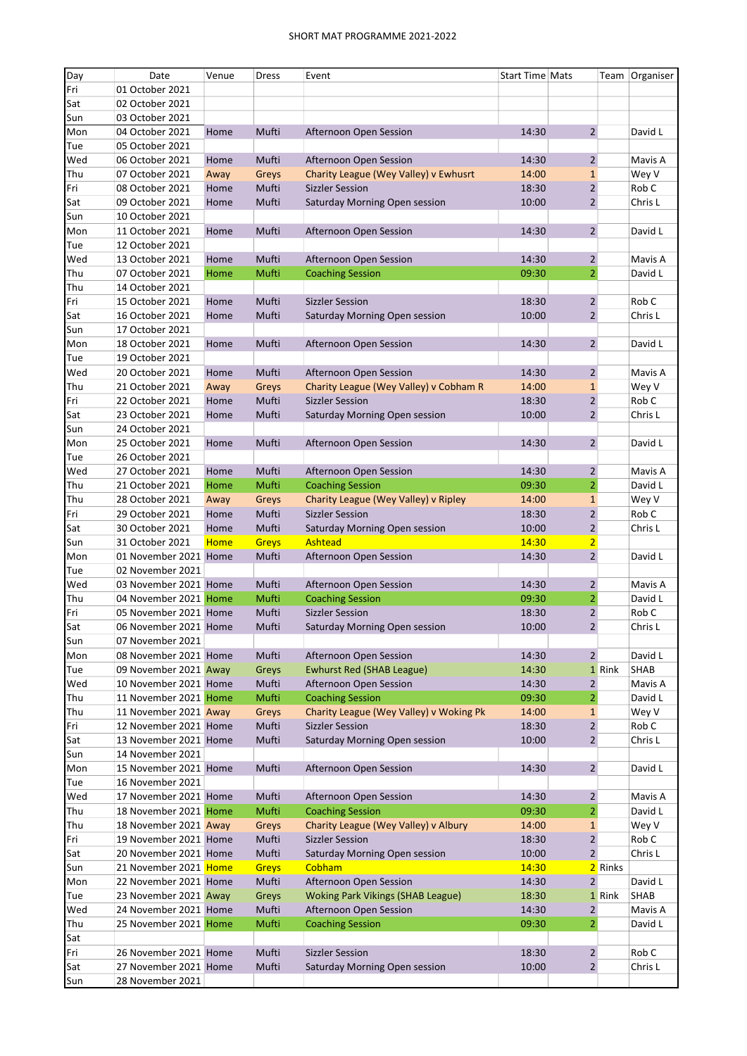| Day        | Date                                           | Venue       | Dress          | Event                                                          | <b>Start Time Mats</b> |                |         | Team Organiser     |
|------------|------------------------------------------------|-------------|----------------|----------------------------------------------------------------|------------------------|----------------|---------|--------------------|
| Fri        | 01 October 2021                                |             |                |                                                                |                        |                |         |                    |
| Sat        | 02 October 2021                                |             |                |                                                                |                        |                |         |                    |
| Sun        | 03 October 2021                                |             |                |                                                                |                        |                |         |                    |
| Mon        | 04 October 2021                                | Home        | Mufti          | Afternoon Open Session                                         | 14:30                  | $\overline{2}$ |         | David L            |
| Tue        | 05 October 2021                                |             |                |                                                                |                        |                |         |                    |
| Wed        | 06 October 2021                                | Home        | Mufti          | Afternoon Open Session                                         | 14:30                  | $\overline{2}$ |         | Mavis A            |
| Thu        | 07 October 2021                                | Away        | Greys          | Charity League (Wey Valley) v Ewhusrt                          | 14:00                  | $\mathbf{1}$   |         | Wey V              |
| Fri        | 08 October 2021                                | Home        | Mufti          | <b>Sizzler Session</b>                                         | 18:30                  | $\overline{2}$ |         | Rob C              |
| Sat        | 09 October 2021                                | Home        | Mufti          | Saturday Morning Open session                                  | 10:00                  | $\overline{2}$ |         | Chris L            |
| Sun        | 10 October 2021                                |             |                |                                                                |                        |                |         |                    |
| Mon        | 11 October 2021                                | Home        | Mufti          | Afternoon Open Session                                         | 14:30                  | $\overline{2}$ |         | David L            |
| Tue        | 12 October 2021                                |             |                |                                                                |                        |                |         |                    |
| Wed        | 13 October 2021                                | Home        | Mufti          | Afternoon Open Session                                         | 14:30                  | $\overline{2}$ |         | Mavis A            |
| Thu        | 07 October 2021                                | Home        | Mufti          | <b>Coaching Session</b>                                        | 09:30                  | $\overline{2}$ |         | David L            |
| Thu        | 14 October 2021                                |             |                |                                                                |                        |                |         |                    |
| Fri        | 15 October 2021                                | Home        | Mufti          | <b>Sizzler Session</b>                                         | 18:30                  | $\overline{2}$ |         | Rob C              |
| Sat        | 16 October 2021                                | Home        | Mufti          | Saturday Morning Open session                                  | 10:00                  | $\overline{2}$ |         | Chris L            |
| Sun        | 17 October 2021                                |             |                |                                                                |                        |                |         |                    |
| Mon        | 18 October 2021                                | Home        | Mufti          | Afternoon Open Session                                         | 14:30                  | $\overline{2}$ |         | David L            |
| Tue        | 19 October 2021                                |             |                |                                                                |                        |                |         |                    |
| Wed        | 20 October 2021                                | Home        | Mufti          | Afternoon Open Session                                         | 14:30                  | $\overline{2}$ |         | Mavis A            |
| Thu        | 21 October 2021                                | Away        | Greys          | Charity League (Wey Valley) v Cobham R                         | 14:00                  | $\mathbf{1}$   |         | Wey V              |
| Fri        | 22 October 2021                                | Home        | Mufti          | <b>Sizzler Session</b>                                         | 18:30                  | $\overline{2}$ |         | Rob C              |
| Sat        | 23 October 2021                                | Home        | Mufti          | Saturday Morning Open session                                  | 10:00                  | $\overline{2}$ |         | Chris L            |
| Sun        | 24 October 2021                                |             |                |                                                                |                        |                |         |                    |
| Mon        | 25 October 2021                                | Home        | Mufti          | Afternoon Open Session                                         | 14:30                  | $\overline{2}$ |         | David L            |
| Tue        | 26 October 2021                                |             |                |                                                                |                        |                |         |                    |
| Wed        | 27 October 2021                                | Home        | Mufti          | Afternoon Open Session                                         | 14:30                  | $\overline{2}$ |         | Mavis A            |
| Thu        | 21 October 2021                                | Home        | Mufti          | <b>Coaching Session</b>                                        | 09:30                  | $\overline{2}$ |         | David L            |
| Thu        | 28 October 2021                                | Away        | Greys          | Charity League (Wey Valley) v Ripley                           | 14:00                  | $\mathbf{1}$   |         | Wey V              |
| Fri        | 29 October 2021                                | Home        | Mufti          | <b>Sizzler Session</b>                                         | 18:30                  | $\overline{2}$ |         | Rob C              |
| Sat        | 30 October 2021                                | Home        | Mufti          | Saturday Morning Open session                                  | 10:00                  | $\overline{2}$ |         | Chris L            |
| Sun        | 31 October 2021                                | <b>Home</b> | <b>Greys</b>   | Ashtead                                                        | 14:30                  | $\overline{2}$ |         |                    |
| Mon        | 01 November 2021 Home                          |             | Mufti          | Afternoon Open Session                                         | 14:30                  | $\overline{2}$ |         | David L            |
| Tue        | 02 November 2021                               |             |                |                                                                |                        |                |         |                    |
| Wed        | 03 November 2021 Home                          |             | Mufti          | Afternoon Open Session                                         | 14:30                  | $\overline{2}$ |         | Mavis A            |
| Thu        | 04 November 2021 Home                          |             | Mufti          | <b>Coaching Session</b>                                        | 09:30                  | $\overline{2}$ |         | David L            |
| Fri        | 05 November 2021 Home                          |             | Mufti          | <b>Sizzler Session</b>                                         | 18:30                  | $\overline{2}$ |         | Rob C              |
| Sat        | 06 November 2021 Home                          |             | Mufti          | Saturday Morning Open session                                  | 10:00                  | $\overline{2}$ |         | Chris L            |
| Sun        | 07 November 2021                               |             |                |                                                                |                        |                |         |                    |
| Mon        | 08 November 2021 Home                          |             | Mufti          | Afternoon Open Session                                         | 14:30                  | $\overline{2}$ |         | David L            |
| Tue        | 09 November 2021 Away                          |             | Greys          | <b>Ewhurst Red (SHAB League)</b>                               | 14:30                  |                | 1 Rink  | SHAB               |
| Wed        | 10 November 2021 Home                          |             | Mufti          | Afternoon Open Session                                         | 14:30                  | $\overline{2}$ |         | Mavis A            |
| Thu        | 11 November 2021 Home                          |             | Mufti          | <b>Coaching Session</b>                                        | 09:30                  | $\overline{2}$ |         | David L            |
| Thu        | 11 November 2021 Away                          |             | Greys          | Charity League (Wey Valley) v Woking Pk                        | 14:00                  | $\mathbf{1}$   |         | Wey V              |
| Fri        | 12 November 2021 Home                          |             | Mufti          | <b>Sizzler Session</b>                                         | 18:30                  | $\overline{2}$ |         | Rob C              |
| Sat        | 13 November 2021 Home                          |             | Mufti          | Saturday Morning Open session                                  | 10:00                  | $\overline{2}$ |         | Chris L            |
| Sun        | 14 November 2021                               |             |                |                                                                |                        |                |         |                    |
| Mon        | 15 November 2021 Home                          |             | Mufti          | Afternoon Open Session                                         | 14:30                  | $\overline{2}$ |         | David L            |
| Tue        | 16 November 2021                               |             |                |                                                                |                        |                |         |                    |
| Wed        | 17 November 2021 Home                          |             | Mufti          |                                                                | 14:30                  | $\overline{2}$ |         |                    |
| Thu        | 18 November 2021 Home                          |             | Mufti          | Afternoon Open Session<br><b>Coaching Session</b>              | 09:30                  | $\overline{2}$ |         | Mavis A<br>David L |
|            |                                                |             |                |                                                                |                        |                |         |                    |
| Thu<br>Fri | 18 November 2021 Away<br>19 November 2021 Home |             | Greys<br>Mufti | Charity League (Wey Valley) v Albury<br><b>Sizzler Session</b> | 14:00<br>18:30         | $\mathbf{1}$   |         | Wey V<br>Rob C     |
|            |                                                |             |                |                                                                |                        | $\overline{2}$ |         |                    |
| Sat        | 20 November 2021 Home                          |             | Mufti          | Saturday Morning Open session                                  | 10:00                  | $\overline{2}$ |         | Chris L            |
| Sun        | 21 November 2021 Home                          |             | <b>Greys</b>   | Cobham                                                         | 14:30                  |                | 2 Rinks |                    |
| Mon        | 22 November 2021 Home                          |             | Mufti          | Afternoon Open Session                                         | 14:30                  | $\overline{2}$ |         | David L            |
| Tue        | 23 November 2021 Away                          |             | Greys          | <b>Woking Park Vikings (SHAB League)</b>                       | 18:30                  |                | 1 Rink  | SHAB               |
| Wed        | 24 November 2021 Home                          |             | Mufti          | Afternoon Open Session                                         | 14:30                  | $\overline{2}$ |         | Mavis A            |
| Thu        | 25 November 2021 Home                          |             | Mufti          | <b>Coaching Session</b>                                        | 09:30                  | $\overline{2}$ |         | David L            |
| Sat        |                                                |             |                |                                                                |                        |                |         |                    |
| Fri        | 26 November 2021 Home                          |             | Mufti          | <b>Sizzler Session</b>                                         | 18:30                  | $\overline{2}$ |         | Rob C              |
| Sat        | 27 November 2021 Home                          |             | Mufti          | Saturday Morning Open session                                  | 10:00                  | $\overline{2}$ |         | Chris L            |
| Sun        | 28 November 2021                               |             |                |                                                                |                        |                |         |                    |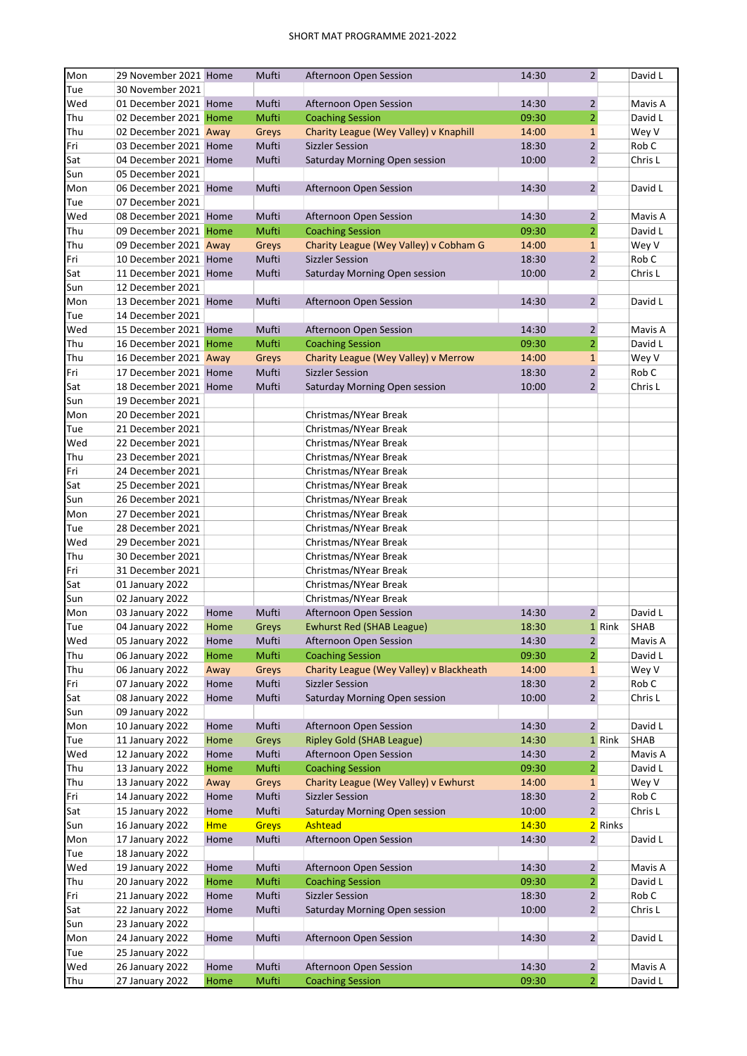| Mon | 29 November 2021 Home |            | Mufti        | Afternoon Open Session                   | 14:30 | $\overline{2}$ |         | David L     |
|-----|-----------------------|------------|--------------|------------------------------------------|-------|----------------|---------|-------------|
| Tue | 30 November 2021      |            |              |                                          |       |                |         |             |
| Wed | 01 December 2021 Home |            | Mufti        | Afternoon Open Session                   | 14:30 | $\overline{2}$ |         | Mavis A     |
| Thu | 02 December 2021 Home |            | Mufti        | <b>Coaching Session</b>                  | 09:30 | $\overline{2}$ |         | David L     |
| Thu | 02 December 2021 Away |            | Greys        | Charity League (Wey Valley) v Knaphill   | 14:00 | $\mathbf{1}$   |         | Wey V       |
| Fri | 03 December 2021 Home |            | Mufti        | <b>Sizzler Session</b>                   | 18:30 | $\overline{2}$ |         | Rob C       |
| Sat | 04 December 2021 Home |            | Mufti        | Saturday Morning Open session            | 10:00 | $\overline{2}$ |         | Chris L     |
| Sun | 05 December 2021      |            |              |                                          |       |                |         |             |
|     |                       |            |              |                                          |       |                |         |             |
| Mon | 06 December 2021 Home |            | Mufti        | Afternoon Open Session                   | 14:30 | $\overline{2}$ |         | David L     |
| Tue | 07 December 2021      |            |              |                                          |       |                |         |             |
| Wed | 08 December 2021 Home |            | Mufti        | Afternoon Open Session                   | 14:30 | $\overline{2}$ |         | Mavis A     |
| Thu | 09 December 2021 Home |            | Mufti        | <b>Coaching Session</b>                  | 09:30 | $\overline{2}$ |         | David L     |
| Thu | 09 December 2021 Away |            | Greys        | Charity League (Wey Valley) v Cobham G   | 14:00 | $\mathbf{1}$   |         | Wey V       |
| Fri | 10 December 2021 Home |            | Mufti        | <b>Sizzler Session</b>                   | 18:30 | $\overline{2}$ |         | Rob C       |
| Sat | 11 December 2021 Home |            | Mufti        | Saturday Morning Open session            | 10:00 | $\overline{2}$ |         | Chris L     |
| Sun | 12 December 2021      |            |              |                                          |       |                |         |             |
| Mon | 13 December 2021 Home |            | Mufti        | Afternoon Open Session                   | 14:30 | $\overline{2}$ |         | David L     |
| Tue | 14 December 2021      |            |              |                                          |       |                |         |             |
| Wed | 15 December 2021 Home |            | Mufti        | Afternoon Open Session                   | 14:30 | $\overline{2}$ |         | Mavis A     |
| Thu | 16 December 2021 Home |            | Mufti        | <b>Coaching Session</b>                  | 09:30 | $\overline{2}$ |         | David L     |
| Thu | 16 December 2021 Away |            | Greys        | Charity League (Wey Valley) v Merrow     | 14:00 | $\mathbf{1}$   |         | Wey V       |
| Fri | 17 December 2021 Home |            | Mufti        | <b>Sizzler Session</b>                   | 18:30 | $\overline{2}$ |         | Rob C       |
| Sat | 18 December 2021 Home |            | Mufti        | Saturday Morning Open session            | 10:00 | $\overline{2}$ |         | Chris L     |
| Sun | 19 December 2021      |            |              |                                          |       |                |         |             |
| Mon | 20 December 2021      |            |              | Christmas/NYear Break                    |       |                |         |             |
|     | 21 December 2021      |            |              | Christmas/NYear Break                    |       |                |         |             |
| Tue |                       |            |              |                                          |       |                |         |             |
| Wed | 22 December 2021      |            |              | Christmas/NYear Break                    |       |                |         |             |
| Thu | 23 December 2021      |            |              | Christmas/NYear Break                    |       |                |         |             |
| Fri | 24 December 2021      |            |              | Christmas/NYear Break                    |       |                |         |             |
| Sat | 25 December 2021      |            |              | Christmas/NYear Break                    |       |                |         |             |
| Sun | 26 December 2021      |            |              | Christmas/NYear Break                    |       |                |         |             |
| Mon | 27 December 2021      |            |              | Christmas/NYear Break                    |       |                |         |             |
| Tue | 28 December 2021      |            |              | Christmas/NYear Break                    |       |                |         |             |
| Wed | 29 December 2021      |            |              | Christmas/NYear Break                    |       |                |         |             |
| Thu | 30 December 2021      |            |              | Christmas/NYear Break                    |       |                |         |             |
| Fri | 31 December 2021      |            |              | Christmas/NYear Break                    |       |                |         |             |
| Sat | 01 January 2022       |            |              | Christmas/NYear Break                    |       |                |         |             |
| Sun | 02 January 2022       |            |              | Christmas/NYear Break                    |       |                |         |             |
| Mon | 03 January 2022       | Home       | Mufti        | Afternoon Open Session                   | 14:30 | $\overline{2}$ |         | David L     |
| Tue | 04 January 2022       | Home       | Greys        | <b>Ewhurst Red (SHAB League)</b>         | 18:30 |                | 1 Rink  | <b>SHAB</b> |
| Wed | 05 January 2022       | Home       | Mufti        | Afternoon Open Session                   | 14:30 | 2              |         | Mavis A     |
| Thu | 06 January 2022       | Home       | Mufti        | <b>Coaching Session</b>                  | 09:30 | 2              |         | David L     |
| Thu | 06 January 2022       | Away       | Greys        | Charity League (Wey Valley) v Blackheath | 14:00 | $\mathbf{1}$   |         | Wey V       |
| Fri | 07 January 2022       | Home       | Mufti        | <b>Sizzler Session</b>                   | 18:30 | $\overline{2}$ |         | Rob C       |
| Sat | 08 January 2022       | Home       | Mufti        | Saturday Morning Open session            | 10:00 | $\overline{2}$ |         | Chris L     |
| Sun | 09 January 2022       |            |              |                                          |       |                |         |             |
| Mon | 10 January 2022       | Home       | Mufti        | Afternoon Open Session                   | 14:30 | $\overline{2}$ |         | David L     |
| Tue | 11 January 2022       | Home       | Greys        | <b>Ripley Gold (SHAB League)</b>         | 14:30 |                | 1 Rink  | SHAB        |
| Wed | 12 January 2022       | Home       | Mufti        | Afternoon Open Session                   | 14:30 | $\overline{2}$ |         | Mavis A     |
| Thu | 13 January 2022       | Home       | Mufti        | <b>Coaching Session</b>                  | 09:30 | 2              |         | David L     |
| Thu | 13 January 2022       | Away       | Greys        | Charity League (Wey Valley) v Ewhurst    | 14:00 | $\mathbf{1}$   |         | Wey V       |
| Fri | 14 January 2022       | Home       | Mufti        | <b>Sizzler Session</b>                   | 18:30 | $\overline{2}$ |         | Rob C       |
|     |                       |            |              |                                          |       |                |         |             |
| Sat | 15 January 2022       | Home       | Mufti        | Saturday Morning Open session            | 10:00 | $\mathbf 2$    |         | Chris L     |
| Sun | 16 January 2022       | <b>Hme</b> | <b>Greys</b> | Ashtead                                  | 14:30 |                | 2 Rinks |             |
| Mon | 17 January 2022       | Home       | Mufti        | Afternoon Open Session                   | 14:30 | $\overline{2}$ |         | David L     |
| Tue | 18 January 2022       |            |              |                                          |       |                |         |             |
| Wed | 19 January 2022       | Home       | Mufti        | Afternoon Open Session                   | 14:30 | $\overline{2}$ |         | Mavis A     |
| Thu | 20 January 2022       | Home       | Mufti        | <b>Coaching Session</b>                  | 09:30 | 2              |         | David L     |
| Fri | 21 January 2022       | Home       | Mufti        | <b>Sizzler Session</b>                   | 18:30 | $\overline{2}$ |         | Rob C       |
| Sat | 22 January 2022       | Home       | Mufti        | Saturday Morning Open session            | 10:00 | $\overline{2}$ |         | Chris L     |
| Sun | 23 January 2022       |            |              |                                          |       |                |         |             |
| Mon | 24 January 2022       | Home       | Mufti        | Afternoon Open Session                   | 14:30 | $\overline{2}$ |         | David L     |
| Tue | 25 January 2022       |            |              |                                          |       |                |         |             |
| Wed | 26 January 2022       | Home       | Mufti        | Afternoon Open Session                   | 14:30 | $\overline{2}$ |         | Mavis A     |
| Thu | 27 January 2022       | Home       | Mufti        | <b>Coaching Session</b>                  | 09:30 | 2              |         | David L     |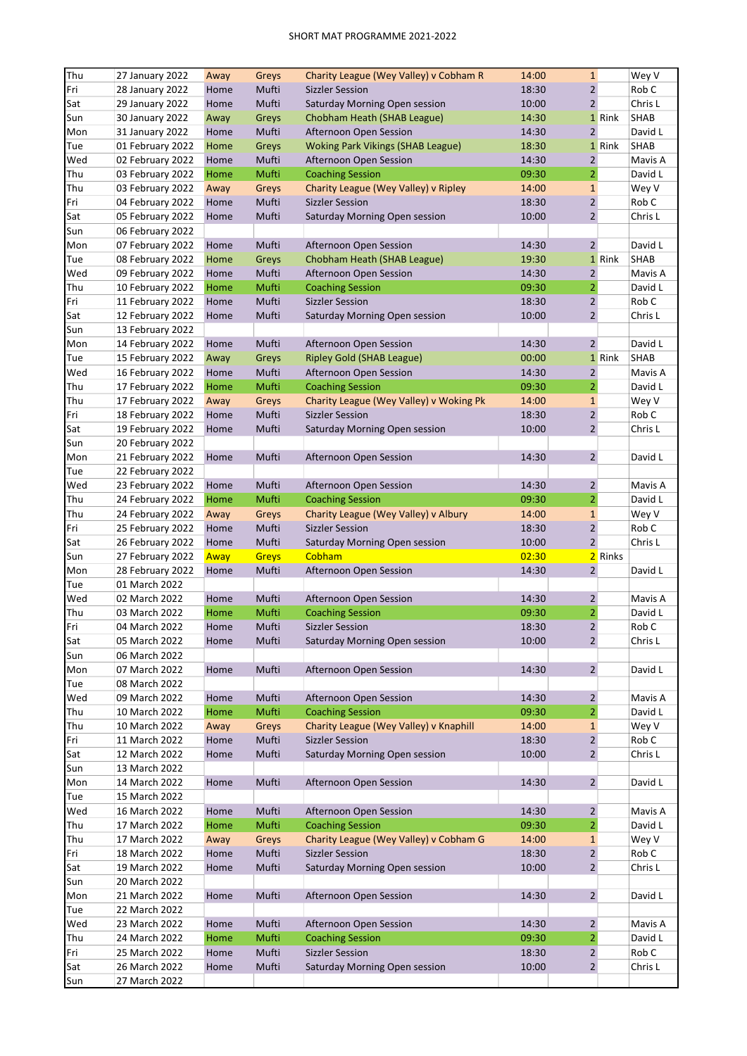| Thu        | 27 January 2022                | Away | Greys          | Charity League (Wey Valley) v Cobham R                           | 14:00 | $\mathbf{1}$                   |         | Wey V       |
|------------|--------------------------------|------|----------------|------------------------------------------------------------------|-------|--------------------------------|---------|-------------|
| Fri        | 28 January 2022                | Home | Mufti          | <b>Sizzler Session</b>                                           | 18:30 | $\overline{2}$                 |         | Rob C       |
| Sat        | 29 January 2022                | Home | Mufti          | Saturday Morning Open session                                    | 10:00 | $\overline{2}$                 |         | Chris L     |
| Sun        | 30 January 2022                | Away | Greys          | Chobham Heath (SHAB League)                                      | 14:30 |                                | 1 Rink  | <b>SHAB</b> |
| Mon        | 31 January 2022                | Home | Mufti          | Afternoon Open Session                                           | 14:30 | $\overline{2}$                 |         | David L     |
| Tue        | 01 February 2022               | Home | Greys          | <b>Woking Park Vikings (SHAB League)</b>                         | 18:30 |                                | 1 Rink  | <b>SHAB</b> |
| Wed        | 02 February 2022               | Home | Mufti          | Afternoon Open Session                                           | 14:30 | 2                              |         | Mavis A     |
|            |                                |      |                |                                                                  | 09:30 | $\overline{2}$                 |         |             |
| Thu        | 03 February 2022               | Home | Mufti          | <b>Coaching Session</b>                                          |       |                                |         | David L     |
| Thu        | 03 February 2022               | Away | Greys          | Charity League (Wey Valley) v Ripley                             | 14:00 | $\mathbf{1}$                   |         | Wey V       |
| Fri        | 04 February 2022               | Home | Mufti          | <b>Sizzler Session</b>                                           | 18:30 | $\overline{2}$                 |         | Rob C       |
| Sat        | 05 February 2022               | Home | Mufti          | Saturday Morning Open session                                    | 10:00 | $\overline{2}$                 |         | Chris L     |
| Sun        | 06 February 2022               |      |                |                                                                  |       |                                |         |             |
| Mon        | 07 February 2022               | Home | Mufti          | Afternoon Open Session                                           | 14:30 | $\overline{2}$                 |         | David L     |
| Tue        | 08 February 2022               | Home | Greys          | Chobham Heath (SHAB League)                                      | 19:30 |                                | 1 Rink  | SHAB        |
| Wed        | 09 February 2022               | Home | Mufti          | Afternoon Open Session                                           | 14:30 | $\overline{2}$                 |         | Mavis A     |
| Thu        | 10 February 2022               | Home | Mufti          | <b>Coaching Session</b>                                          | 09:30 | $\overline{2}$                 |         | David L     |
| Fri        | 11 February 2022               | Home | Mufti          | <b>Sizzler Session</b>                                           | 18:30 | $\overline{2}$                 |         | Rob C       |
| Sat        | 12 February 2022               | Home | Mufti          | Saturday Morning Open session                                    | 10:00 | $\overline{2}$                 |         | Chris L     |
| Sun        | 13 February 2022               |      |                |                                                                  |       |                                |         |             |
| Mon        | 14 February 2022               | Home | Mufti          | Afternoon Open Session                                           | 14:30 | $\overline{2}$                 |         | David L     |
| Tue        | 15 February 2022               | Away | Greys          | <b>Ripley Gold (SHAB League)</b>                                 | 00:00 |                                | 1 Rink  | <b>SHAB</b> |
| Wed        |                                |      | Mufti          | Afternoon Open Session                                           | 14:30 | $\overline{2}$                 |         | Mavis A     |
|            | 16 February 2022               | Home |                |                                                                  |       |                                |         | David L     |
| Thu        | 17 February 2022               | Home | Mufti          | <b>Coaching Session</b>                                          | 09:30 | $\overline{2}$                 |         |             |
| Thu        | 17 February 2022               | Away | Greys          | Charity League (Wey Valley) v Woking Pk                          | 14:00 | $\mathbf{1}$                   |         | Wey V       |
| Fri        | 18 February 2022               | Home | Mufti          | <b>Sizzler Session</b>                                           | 18:30 | $\overline{2}$                 |         | Rob C       |
| Sat        | 19 February 2022               | Home | Mufti          | Saturday Morning Open session                                    | 10:00 | $\overline{2}$                 |         | Chris L     |
| Sun        | 20 February 2022               |      |                |                                                                  |       |                                |         |             |
| Mon        | 21 February 2022               | Home | Mufti          | Afternoon Open Session                                           | 14:30 | $\overline{2}$                 |         | David L     |
| Tue        | 22 February 2022               |      |                |                                                                  |       |                                |         |             |
| Wed        | 23 February 2022               | Home | Mufti          | Afternoon Open Session                                           | 14:30 | $\overline{2}$                 |         | Mavis A     |
| Thu        | 24 February 2022               | Home | Mufti          | <b>Coaching Session</b>                                          | 09:30 | $\overline{2}$                 |         | David L     |
| Thu        | 24 February 2022               | Away | Greys          | Charity League (Wey Valley) v Albury                             | 14:00 | $\mathbf{1}$                   |         | Wey V       |
| Fri        | 25 February 2022               | Home | Mufti          | <b>Sizzler Session</b>                                           | 18:30 | $\overline{2}$                 |         | Rob C       |
| Sat        | 26 February 2022               | Home | Mufti          | Saturday Morning Open session                                    | 10:00 | $\overline{2}$                 |         | Chris L     |
| Sun        | 27 February 2022               | Away | <b>Greys</b>   | Cobham                                                           | 02:30 |                                | 2 Rinks |             |
| Mon        | 28 February 2022               | Home | Mufti          | Afternoon Open Session                                           | 14:30 | $2^{\circ}$                    |         | David L     |
| Tue        | 01 March 2022                  |      |                |                                                                  |       |                                |         |             |
| Wed        | 02 March 2022                  | Home | Mufti          | Afternoon Open Session                                           | 14:30 | $\overline{2}$                 |         | Mavis A     |
| Thu        | 03 March 2022                  | Home | Mufti          | <b>Coaching Session</b>                                          | 09:30 | 2                              |         | David L     |
| Fri        | 04 March 2022                  | Home | Mufti          | <b>Sizzler Session</b>                                           | 18:30 | $\overline{2}$                 |         | Rob C       |
| Sat        | 05 March 2022                  | Home | Mufti          | Saturday Morning Open session                                    | 10:00 | $\overline{2}$                 |         | Chris L     |
|            |                                |      |                |                                                                  |       |                                |         |             |
| Sun        | 06 March 2022                  |      |                |                                                                  |       |                                |         |             |
| Mon        | 07 March 2022                  | Home | Mufti          | Afternoon Open Session                                           | 14:30 | $\overline{2}$                 |         | David L     |
| Tue        | 08 March 2022                  |      |                |                                                                  |       |                                |         |             |
| Wed        | 09 March 2022                  | Home | Mufti          | Afternoon Open Session                                           | 14:30 | $\overline{2}$                 |         | Mavis A     |
| Thu        | 10 March 2022                  | Home | Mufti          | <b>Coaching Session</b>                                          | 09:30 | $\overline{2}$                 |         | David L     |
| Thu        | 10 March 2022                  | Away | Greys          | Charity League (Wey Valley) v Knaphill                           | 14:00 | $\mathbf{1}$                   |         | Wey V       |
| Fri        | 11 March 2022                  | Home | Mufti          | <b>Sizzler Session</b>                                           | 18:30 | $\overline{2}$                 |         | Rob C       |
| Sat        | 12 March 2022                  | Home | Mufti          | Saturday Morning Open session                                    | 10:00 | $\overline{2}$                 |         | Chris L     |
| Sun        | 13 March 2022                  |      |                |                                                                  |       |                                |         |             |
| Mon        |                                |      |                |                                                                  |       |                                |         |             |
| Tue        | 14 March 2022                  | Home | Mufti          | Afternoon Open Session                                           | 14:30 | $\overline{2}$                 |         | David L     |
|            | 15 March 2022                  |      |                |                                                                  |       |                                |         |             |
| Wed        | 16 March 2022                  | Home | Mufti          | Afternoon Open Session                                           | 14:30 | $\overline{2}$                 |         | Mavis A     |
|            | 17 March 2022                  | Home |                | <b>Coaching Session</b>                                          | 09:30 |                                |         | David L     |
| Thu<br>Thu | 17 March 2022                  | Away | Mufti          |                                                                  | 14:00 | $\overline{2}$<br>$\mathbf{1}$ |         |             |
|            | 18 March 2022                  | Home | Greys<br>Mufti | Charity League (Wey Valley) v Cobham G<br><b>Sizzler Session</b> | 18:30 | $\overline{2}$                 |         | Wey V       |
| Fri        |                                |      |                |                                                                  |       |                                |         | Rob C       |
| Sat        | 19 March 2022                  | Home | Mufti          | Saturday Morning Open session                                    | 10:00 | $\overline{2}$                 |         | Chris L     |
| Sun        | 20 March 2022                  |      |                |                                                                  |       |                                |         |             |
| Mon        | 21 March 2022                  | Home | Mufti          | Afternoon Open Session                                           | 14:30 | $\overline{2}$                 |         | David L     |
| Tue        | 22 March 2022                  |      |                |                                                                  |       |                                |         |             |
| Wed        | 23 March 2022                  | Home | Mufti          | Afternoon Open Session                                           | 14:30 | $\overline{2}$                 |         | Mavis A     |
| Thu        | 24 March 2022                  | Home | Mufti          | <b>Coaching Session</b>                                          | 09:30 | $\overline{2}$                 |         | David L     |
| Fri        | 25 March 2022                  | Home | Mufti          | <b>Sizzler Session</b>                                           | 18:30 | $\overline{2}$                 |         | Rob C       |
| Sat<br>Sun | 26 March 2022<br>27 March 2022 | Home | Mufti          | Saturday Morning Open session                                    | 10:00 | $\overline{2}$                 |         | Chris L     |